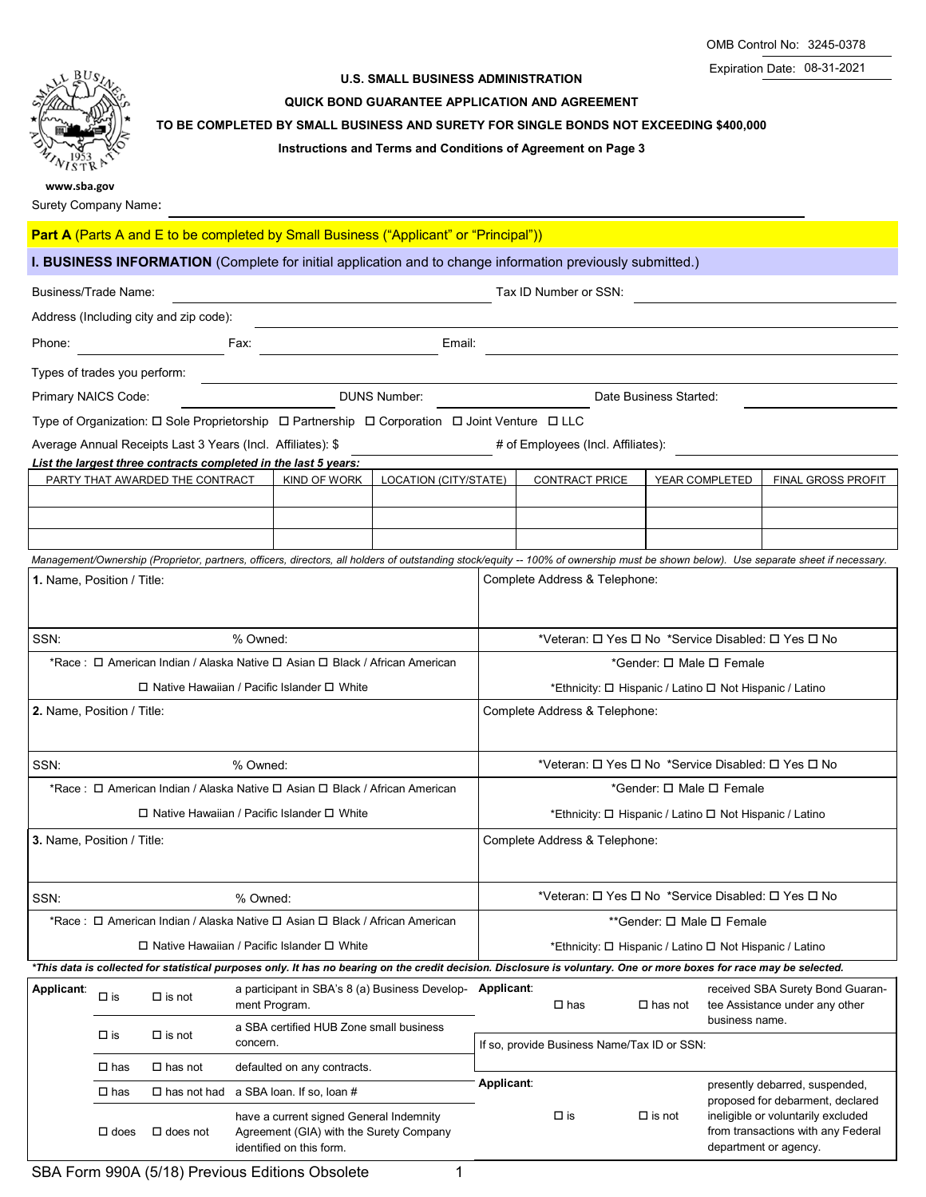Expiration Date: 08-31-2021



### **U.S. SMALL BUSINESS ADMINISTRATION**

### **QUICK BOND GUARANTEE APPLICATION AND AGREEMENT**

# **TO BE COMPLETED BY SMALL BUSINESS AND SURETY FOR SINGLE BONDS NOT EXCEEDING \$400,000**

# **Instructions and Terms and Conditions of Agreement on Page 3**

| www.sba.gov<br>Surety Company Name:                                                                                                                                   |                                                                                                          |                                               |          |                                                                                                                |                                                                                                            |                                                    |                                                         |                                                    |                                                                                      |                                                                                                   |                                                                                                                                                                                      |  |  |
|-----------------------------------------------------------------------------------------------------------------------------------------------------------------------|----------------------------------------------------------------------------------------------------------|-----------------------------------------------|----------|----------------------------------------------------------------------------------------------------------------|------------------------------------------------------------------------------------------------------------|----------------------------------------------------|---------------------------------------------------------|----------------------------------------------------|--------------------------------------------------------------------------------------|---------------------------------------------------------------------------------------------------|--------------------------------------------------------------------------------------------------------------------------------------------------------------------------------------|--|--|
|                                                                                                                                                                       |                                                                                                          |                                               |          |                                                                                                                | Part A (Parts A and E to be completed by Small Business ("Applicant" or "Principal"))                      |                                                    |                                                         |                                                    |                                                                                      |                                                                                                   |                                                                                                                                                                                      |  |  |
|                                                                                                                                                                       |                                                                                                          |                                               |          |                                                                                                                | I. BUSINESS INFORMATION (Complete for initial application and to change information previously submitted.) |                                                    |                                                         |                                                    |                                                                                      |                                                                                                   |                                                                                                                                                                                      |  |  |
| Business/Trade Name:                                                                                                                                                  |                                                                                                          |                                               |          |                                                                                                                |                                                                                                            |                                                    |                                                         | Tax ID Number or SSN:                              |                                                                                      |                                                                                                   |                                                                                                                                                                                      |  |  |
|                                                                                                                                                                       | Address (Including city and zip code):                                                                   |                                               |          |                                                                                                                |                                                                                                            |                                                    |                                                         |                                                    |                                                                                      |                                                                                                   |                                                                                                                                                                                      |  |  |
| Phone:<br>Fax:<br>Email:                                                                                                                                              |                                                                                                          |                                               |          |                                                                                                                |                                                                                                            |                                                    |                                                         |                                                    |                                                                                      |                                                                                                   |                                                                                                                                                                                      |  |  |
| Types of trades you perform:                                                                                                                                          |                                                                                                          |                                               |          |                                                                                                                |                                                                                                            |                                                    |                                                         |                                                    |                                                                                      |                                                                                                   |                                                                                                                                                                                      |  |  |
| <b>DUNS Number:</b><br>Primary NAICS Code:                                                                                                                            |                                                                                                          |                                               |          |                                                                                                                |                                                                                                            |                                                    |                                                         |                                                    | Date Business Started:                                                               |                                                                                                   |                                                                                                                                                                                      |  |  |
| Type of Organization: $\square$ Sole Proprietorship $\square$ Partnership $\square$ Corporation $\square$ Joint Venture $\square$ LLC                                 |                                                                                                          |                                               |          |                                                                                                                |                                                                                                            |                                                    |                                                         |                                                    |                                                                                      |                                                                                                   |                                                                                                                                                                                      |  |  |
| Average Annual Receipts Last 3 Years (Incl. Affiliates): \$<br># of Employees (Incl. Affiliates):                                                                     |                                                                                                          |                                               |          |                                                                                                                |                                                                                                            |                                                    |                                                         |                                                    |                                                                                      |                                                                                                   |                                                                                                                                                                                      |  |  |
|                                                                                                                                                                       |                                                                                                          | PARTY THAT AWARDED THE CONTRACT               |          | List the largest three contracts completed in the last 5 years:<br>KIND OF WORK                                | LOCATION (CITY/STATE)                                                                                      | <b>CONTRACT PRICE</b><br>YEAR COMPLETED            |                                                         |                                                    |                                                                                      |                                                                                                   | FINAL GROSS PROFIT                                                                                                                                                                   |  |  |
|                                                                                                                                                                       |                                                                                                          |                                               |          |                                                                                                                |                                                                                                            |                                                    |                                                         |                                                    |                                                                                      |                                                                                                   |                                                                                                                                                                                      |  |  |
|                                                                                                                                                                       |                                                                                                          |                                               |          |                                                                                                                |                                                                                                            |                                                    |                                                         |                                                    |                                                                                      |                                                                                                   |                                                                                                                                                                                      |  |  |
|                                                                                                                                                                       |                                                                                                          |                                               |          |                                                                                                                |                                                                                                            |                                                    |                                                         |                                                    |                                                                                      |                                                                                                   | Management/Ownership (Proprietor, partners, officers, directors, all holders of outstanding stock/equity -- 100% of ownership must be shown below). Use separate sheet if necessary. |  |  |
| 1. Name, Position / Title:                                                                                                                                            |                                                                                                          |                                               |          |                                                                                                                |                                                                                                            |                                                    |                                                         |                                                    |                                                                                      |                                                                                                   |                                                                                                                                                                                      |  |  |
|                                                                                                                                                                       |                                                                                                          |                                               |          |                                                                                                                |                                                                                                            | Complete Address & Telephone:                      |                                                         |                                                    |                                                                                      |                                                                                                   |                                                                                                                                                                                      |  |  |
| SSN:                                                                                                                                                                  |                                                                                                          |                                               | % Owned: |                                                                                                                |                                                                                                            | *Veteran: □ Yes □ No *Service Disabled: □ Yes □ No |                                                         |                                                    |                                                                                      |                                                                                                   |                                                                                                                                                                                      |  |  |
| *Race: □ American Indian / Alaska Native □ Asian □ Black / African American                                                                                           |                                                                                                          |                                               |          |                                                                                                                |                                                                                                            |                                                    | *Gender: □ Male □ Female                                |                                                    |                                                                                      |                                                                                                   |                                                                                                                                                                                      |  |  |
| $\Box$ Native Hawaiian / Pacific Islander $\Box$ White                                                                                                                |                                                                                                          |                                               |          |                                                                                                                |                                                                                                            |                                                    | *Ethnicity: □ Hispanic / Latino □ Not Hispanic / Latino |                                                    |                                                                                      |                                                                                                   |                                                                                                                                                                                      |  |  |
| 2. Name, Position / Title:                                                                                                                                            |                                                                                                          |                                               |          |                                                                                                                |                                                                                                            |                                                    | Complete Address & Telephone:                           |                                                    |                                                                                      |                                                                                                   |                                                                                                                                                                                      |  |  |
| SSN:<br>% Owned:                                                                                                                                                      |                                                                                                          |                                               |          |                                                                                                                |                                                                                                            |                                                    |                                                         | *Veteran: □ Yes □ No *Service Disabled: □ Yes □ No |                                                                                      |                                                                                                   |                                                                                                                                                                                      |  |  |
|                                                                                                                                                                       |                                                                                                          |                                               |          |                                                                                                                | *Gender: □ Male □ Female                                                                                   |                                                    |                                                         |                                                    |                                                                                      |                                                                                                   |                                                                                                                                                                                      |  |  |
| *Race: □ American Indian / Alaska Native □ Asian □ Black / African American<br>$\Box$ Native Hawaiian / Pacific Islander $\Box$ White                                 |                                                                                                          |                                               |          |                                                                                                                |                                                                                                            |                                                    | *Ethnicity: O Hispanic / Latino O Not Hispanic / Latino |                                                    |                                                                                      |                                                                                                   |                                                                                                                                                                                      |  |  |
| 3. Name, Position / Title:                                                                                                                                            |                                                                                                          |                                               |          |                                                                                                                |                                                                                                            |                                                    | Complete Address & Telephone:                           |                                                    |                                                                                      |                                                                                                   |                                                                                                                                                                                      |  |  |
|                                                                                                                                                                       |                                                                                                          |                                               |          |                                                                                                                |                                                                                                            |                                                    |                                                         |                                                    |                                                                                      |                                                                                                   |                                                                                                                                                                                      |  |  |
| SSN:                                                                                                                                                                  | % Owned:                                                                                                 |                                               |          |                                                                                                                |                                                                                                            |                                                    |                                                         | *Veteran: □ Yes □ No *Service Disabled: □ Yes □ No |                                                                                      |                                                                                                   |                                                                                                                                                                                      |  |  |
|                                                                                                                                                                       |                                                                                                          |                                               |          | *Race: □ American Indian / Alaska Native □ Asian □ Black / African American                                    |                                                                                                            | **Gender: □ Male □ Female                          |                                                         |                                                    |                                                                                      |                                                                                                   |                                                                                                                                                                                      |  |  |
| $\Box$ Native Hawaiian / Pacific Islander $\Box$ White                                                                                                                |                                                                                                          |                                               |          |                                                                                                                |                                                                                                            |                                                    | *Ethnicity: □ Hispanic / Latino □ Not Hispanic / Latino |                                                    |                                                                                      |                                                                                                   |                                                                                                                                                                                      |  |  |
| *This data is collected for statistical purposes only. It has no bearing on the credit decision. Disclosure is voluntary. One or more boxes for race may be selected. |                                                                                                          |                                               |          |                                                                                                                |                                                                                                            |                                                    |                                                         |                                                    |                                                                                      |                                                                                                   |                                                                                                                                                                                      |  |  |
| Applicant:                                                                                                                                                            | a participant in SBA's 8 (a) Business Develop- Applicant:<br>$\Box$ is<br>$\Box$ is not<br>ment Program. |                                               |          |                                                                                                                | $\Box$ has                                                                                                 |                                                    |                                                         | $\Box$ has not                                     | received SBA Surety Bond Guaran-<br>tee Assistance under any other<br>business name. |                                                                                                   |                                                                                                                                                                                      |  |  |
|                                                                                                                                                                       | a SBA certified HUB Zone small business<br>$\Box$ is<br>$\Box$ is not<br>concern.                        |                                               |          |                                                                                                                |                                                                                                            | If so, provide Business Name/Tax ID or SSN:        |                                                         |                                                    |                                                                                      |                                                                                                   |                                                                                                                                                                                      |  |  |
|                                                                                                                                                                       | $\square$ has                                                                                            | $\Box$ has not<br>defaulted on any contracts. |          |                                                                                                                |                                                                                                            |                                                    |                                                         |                                                    |                                                                                      |                                                                                                   |                                                                                                                                                                                      |  |  |
|                                                                                                                                                                       | $\square$ has                                                                                            | $\square$ has not had                         |          | a SBA loan. If so, loan #                                                                                      | Applicant:                                                                                                 |                                                    |                                                         |                                                    | presently debarred, suspended,<br>proposed for debarment, declared                   |                                                                                                   |                                                                                                                                                                                      |  |  |
|                                                                                                                                                                       | $\Box$ does                                                                                              | $\Box$ does not                               |          | have a current signed General Indemnity<br>Agreement (GIA) with the Surety Company<br>identified on this form. |                                                                                                            |                                                    |                                                         | $\Box$ is                                          | $\square$ is not                                                                     | ineligible or voluntarily excluded<br>from transactions with any Federal<br>department or agency. |                                                                                                                                                                                      |  |  |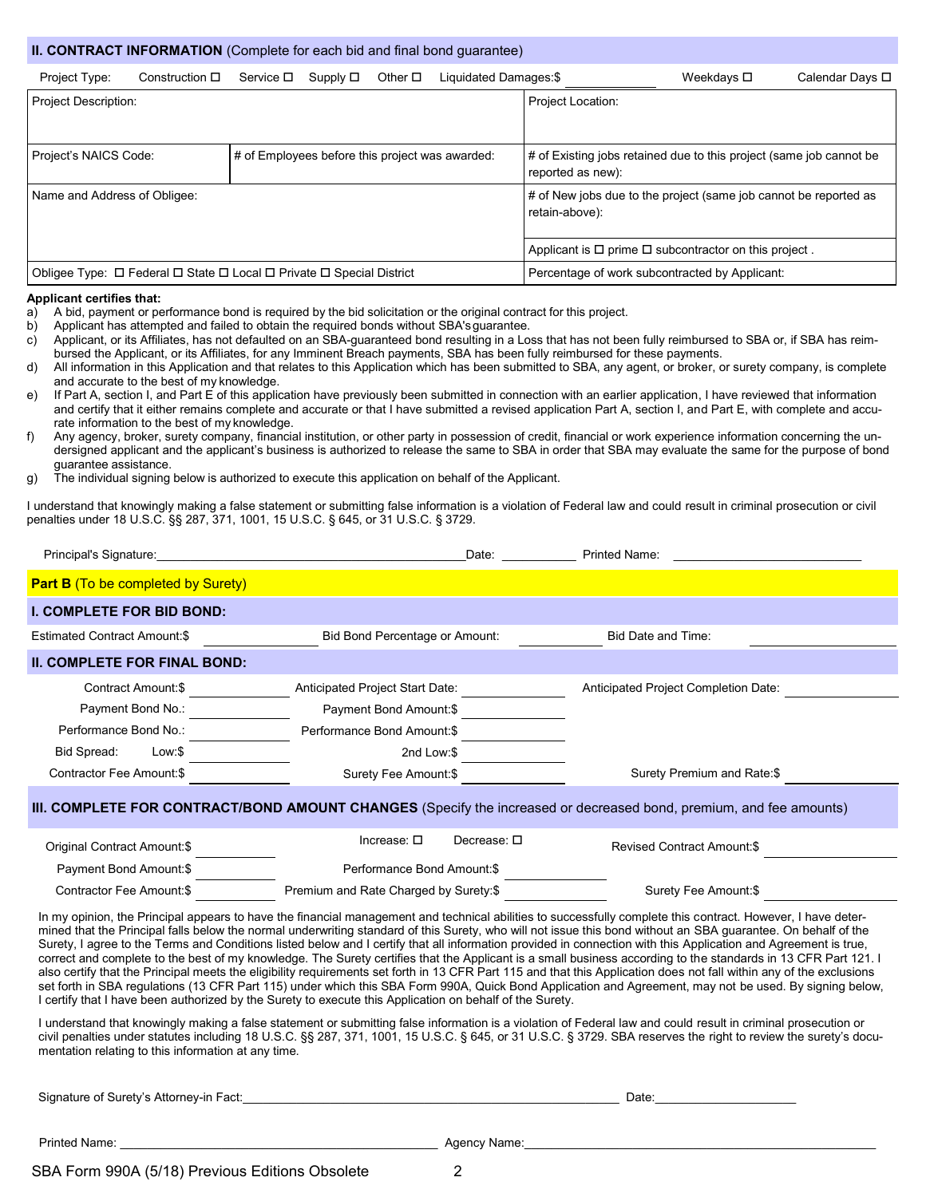### **II. CONTRACT INFORMATION** (Complete for each bid and final bond guarantee)

| Project Type:                | Construction $\Box$                                                                           | Service □                                       | Supply $\square$ | Other $\square$                                                                    | Liquidated Damages:\$                                                                    |                                                                 | Weekdays $\square$ | Calendar Days □ |  |
|------------------------------|-----------------------------------------------------------------------------------------------|-------------------------------------------------|------------------|------------------------------------------------------------------------------------|------------------------------------------------------------------------------------------|-----------------------------------------------------------------|--------------------|-----------------|--|
| <b>Project Description:</b>  |                                                                                               |                                                 |                  | <b>Project Location:</b>                                                           |                                                                                          |                                                                 |                    |                 |  |
| Project's NAICS Code:        |                                                                                               | # of Employees before this project was awarded: |                  |                                                                                    | # of Existing jobs retained due to this project (same job cannot be<br>reported as new): |                                                                 |                    |                 |  |
| Name and Address of Obligee: |                                                                                               |                                                 |                  | # of New jobs due to the project (same job cannot be reported as<br>retain-above): |                                                                                          |                                                                 |                    |                 |  |
|                              |                                                                                               |                                                 |                  |                                                                                    |                                                                                          | Applicant is $\Box$ prime $\Box$ subcontractor on this project. |                    |                 |  |
|                              | Obligee Type: $\Box$ Federal $\Box$ State $\Box$ Local $\Box$ Private $\Box$ Special District |                                                 |                  | Percentage of work subcontracted by Applicant:                                     |                                                                                          |                                                                 |                    |                 |  |

#### **Applicant certifies that:**

- a) A bid, payment or performance bond is required by the bid solicitation or the original contract for this project.
- b) Applicant has attempted and failed to obtain the required bonds without SBA's guarantee.
- c) Applicant, or its Affiliates, has not defaulted on an SBA-guaranteed bond resulting in a Loss that has not been fully reimbursed to SBA or, if SBA has reimbursed the Applicant, or its Affiliates, for any Imminent Breach payments, SBA has been fully reimbursed for these payments.
- d) All information in this Application and that relates to this Application which has been submitted to SBA, any agent, or broker, or surety company, is complete and accurate to the best of my knowledge.
- e) If Part A, section I, and Part E of this application have previously been submitted in connection with an earlier application, I have reviewed that information and certify that it either remains complete and accurate or that I have submitted a revised application Part A, section I, and Part E, with complete and accurate information to the best of my knowledge.
- f) Any agency, broker, surety company, financial institution, or other party in possession of credit, financial or work experience information concerning the undersigned applicant and the applicant's business is authorized to release the same to SBA in order that SBA may evaluate the same for the purpose of bond guarantee assistance.
- g) The individual signing below is authorized to execute this application on behalf of the Applicant.

I understand that knowingly making a false statement or submitting false information is a violation of Federal law and could result in criminal prosecution or civil penalties under 18 U.S.C. §§ 287, 371, 1001, 15 U.S.C. § 645, or 31 U.S.C. § 3729.

| Principal's Signature:                                                                                                                                                                                                                                                                                                                                                                                                                                                                                                                                                                                                                                                                                                                                                                                                                                                                                                                                                                                                                                                                                            | Date:                                                                                                                                                                                                                                                                                                                             | Printed Name:                        |  |  |  |  |  |  |  |
|-------------------------------------------------------------------------------------------------------------------------------------------------------------------------------------------------------------------------------------------------------------------------------------------------------------------------------------------------------------------------------------------------------------------------------------------------------------------------------------------------------------------------------------------------------------------------------------------------------------------------------------------------------------------------------------------------------------------------------------------------------------------------------------------------------------------------------------------------------------------------------------------------------------------------------------------------------------------------------------------------------------------------------------------------------------------------------------------------------------------|-----------------------------------------------------------------------------------------------------------------------------------------------------------------------------------------------------------------------------------------------------------------------------------------------------------------------------------|--------------------------------------|--|--|--|--|--|--|--|
| <b>Part B</b> (To be completed by Surety)                                                                                                                                                                                                                                                                                                                                                                                                                                                                                                                                                                                                                                                                                                                                                                                                                                                                                                                                                                                                                                                                         |                                                                                                                                                                                                                                                                                                                                   |                                      |  |  |  |  |  |  |  |
| I. COMPLETE FOR BID BOND:                                                                                                                                                                                                                                                                                                                                                                                                                                                                                                                                                                                                                                                                                                                                                                                                                                                                                                                                                                                                                                                                                         |                                                                                                                                                                                                                                                                                                                                   |                                      |  |  |  |  |  |  |  |
| <b>Estimated Contract Amount:\$</b>                                                                                                                                                                                                                                                                                                                                                                                                                                                                                                                                                                                                                                                                                                                                                                                                                                                                                                                                                                                                                                                                               | Bid Bond Percentage or Amount:                                                                                                                                                                                                                                                                                                    | Bid Date and Time:                   |  |  |  |  |  |  |  |
| <b>II. COMPLETE FOR FINAL BOND:</b>                                                                                                                                                                                                                                                                                                                                                                                                                                                                                                                                                                                                                                                                                                                                                                                                                                                                                                                                                                                                                                                                               |                                                                                                                                                                                                                                                                                                                                   |                                      |  |  |  |  |  |  |  |
| Contract Amount:\$                                                                                                                                                                                                                                                                                                                                                                                                                                                                                                                                                                                                                                                                                                                                                                                                                                                                                                                                                                                                                                                                                                | Anticipated Project Start Date:                                                                                                                                                                                                                                                                                                   | Anticipated Project Completion Date: |  |  |  |  |  |  |  |
| Payment Bond No.:                                                                                                                                                                                                                                                                                                                                                                                                                                                                                                                                                                                                                                                                                                                                                                                                                                                                                                                                                                                                                                                                                                 | Payment Bond Amount:\$                                                                                                                                                                                                                                                                                                            |                                      |  |  |  |  |  |  |  |
| Performance Bond No.:                                                                                                                                                                                                                                                                                                                                                                                                                                                                                                                                                                                                                                                                                                                                                                                                                                                                                                                                                                                                                                                                                             | Performance Bond Amount:\$                                                                                                                                                                                                                                                                                                        |                                      |  |  |  |  |  |  |  |
| Bid Spread:<br>Low:\$                                                                                                                                                                                                                                                                                                                                                                                                                                                                                                                                                                                                                                                                                                                                                                                                                                                                                                                                                                                                                                                                                             | 2nd Low:\$                                                                                                                                                                                                                                                                                                                        |                                      |  |  |  |  |  |  |  |
| Contractor Fee Amount:\$                                                                                                                                                                                                                                                                                                                                                                                                                                                                                                                                                                                                                                                                                                                                                                                                                                                                                                                                                                                                                                                                                          | Surety Fee Amount:\$                                                                                                                                                                                                                                                                                                              | Surety Premium and Rate:\$           |  |  |  |  |  |  |  |
|                                                                                                                                                                                                                                                                                                                                                                                                                                                                                                                                                                                                                                                                                                                                                                                                                                                                                                                                                                                                                                                                                                                   | III. COMPLETE FOR CONTRACT/BOND AMOUNT CHANGES (Specify the increased or decreased bond, premium, and fee amounts)<br>Increase: $\square$<br>Decrease: $\square$                                                                                                                                                                  |                                      |  |  |  |  |  |  |  |
| Original Contract Amount:\$                                                                                                                                                                                                                                                                                                                                                                                                                                                                                                                                                                                                                                                                                                                                                                                                                                                                                                                                                                                                                                                                                       |                                                                                                                                                                                                                                                                                                                                   | <b>Revised Contract Amount:\$</b>    |  |  |  |  |  |  |  |
| Payment Bond Amount:\$                                                                                                                                                                                                                                                                                                                                                                                                                                                                                                                                                                                                                                                                                                                                                                                                                                                                                                                                                                                                                                                                                            | Performance Bond Amount: \$                                                                                                                                                                                                                                                                                                       |                                      |  |  |  |  |  |  |  |
| Contractor Fee Amount:\$                                                                                                                                                                                                                                                                                                                                                                                                                                                                                                                                                                                                                                                                                                                                                                                                                                                                                                                                                                                                                                                                                          | Premium and Rate Charged by Surety:\$                                                                                                                                                                                                                                                                                             | Surety Fee Amount:\$                 |  |  |  |  |  |  |  |
| In my opinion, the Principal appears to have the financial management and technical abilities to successfully complete this contract. However, I have deter-<br>mined that the Principal falls below the normal underwriting standard of this Surety, who will not issue this bond without an SBA guarantee. On behalf of the<br>Surety, I agree to the Terms and Conditions listed below and I certify that all information provided in connection with this Application and Agreement is true,<br>correct and complete to the best of my knowledge. The Surety certifies that the Applicant is a small business according to the standards in 13 CFR Part 121. I<br>also certify that the Principal meets the eligibility requirements set forth in 13 CFR Part 115 and that this Application does not fall within any of the exclusions<br>set forth in SBA regulations (13 CFR Part 115) under which this SBA Form 990A, Quick Bond Application and Agreement, may not be used. By signing below,<br>I certify that I have been authorized by the Surety to execute this Application on behalf of the Surety. |                                                                                                                                                                                                                                                                                                                                   |                                      |  |  |  |  |  |  |  |
| mentation relating to this information at any time.                                                                                                                                                                                                                                                                                                                                                                                                                                                                                                                                                                                                                                                                                                                                                                                                                                                                                                                                                                                                                                                               | I understand that knowingly making a false statement or submitting false information is a violation of Federal law and could result in criminal prosecution or<br>civil penalties under statutes including 18 U.S.C. §§ 287, 371, 1001, 15 U.S.C. § 645, or 31 U.S.C. § 3729. SBA reserves the right to review the surety's docu- |                                      |  |  |  |  |  |  |  |
| Signature of Surety's Attorney-in Fact:                                                                                                                                                                                                                                                                                                                                                                                                                                                                                                                                                                                                                                                                                                                                                                                                                                                                                                                                                                                                                                                                           |                                                                                                                                                                                                                                                                                                                                   | Date:                                |  |  |  |  |  |  |  |
| <b>Printed Name:</b>                                                                                                                                                                                                                                                                                                                                                                                                                                                                                                                                                                                                                                                                                                                                                                                                                                                                                                                                                                                                                                                                                              | Agency Name:                                                                                                                                                                                                                                                                                                                      |                                      |  |  |  |  |  |  |  |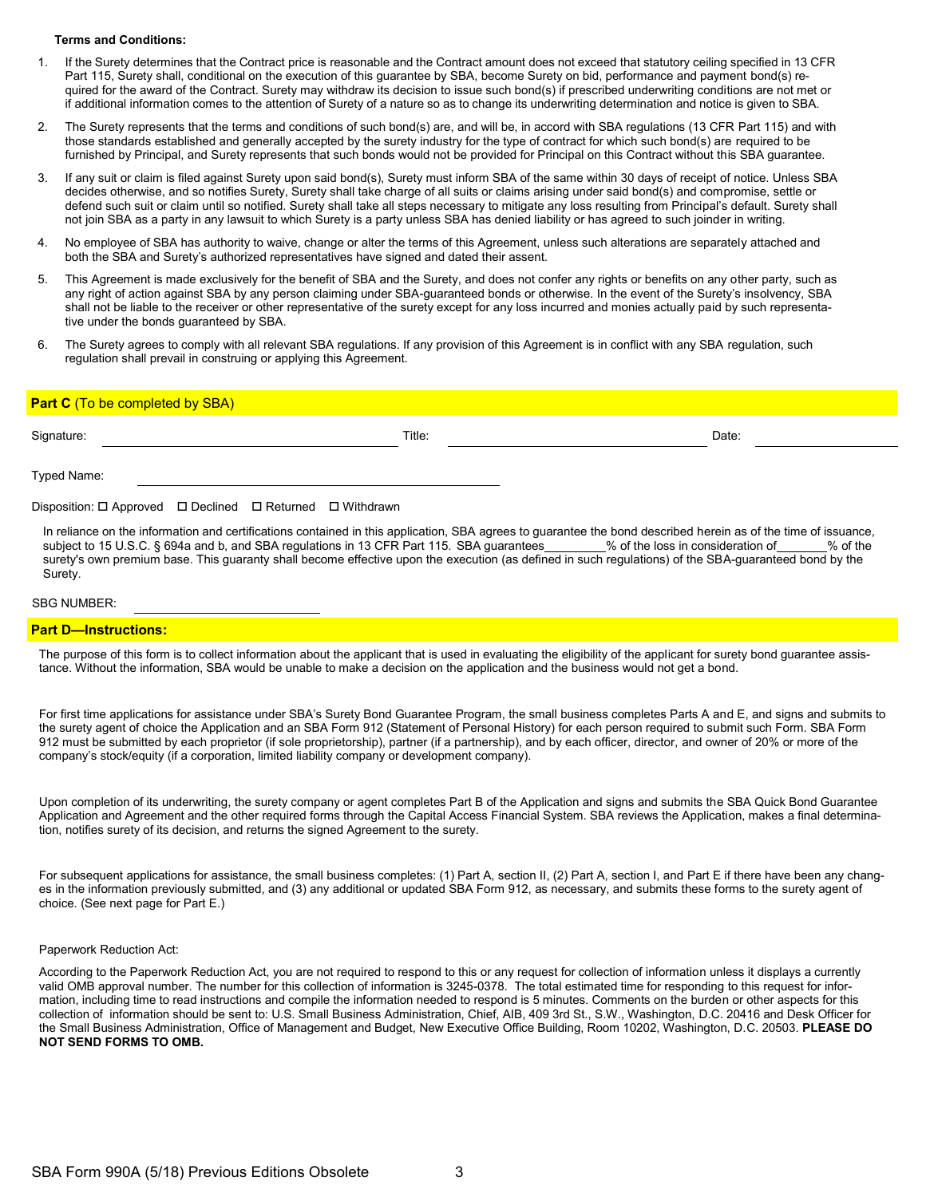#### **Terms and Conditions:**

- 1. If the Surety determines that the Contract price is reasonable and the Contract amount does not exceed that statutory ceiling specified in 13 CFR Part 115, Surety shall, conditional on the execution of this guarantee by SBA, become Surety on bid, performance and payment bond(s) required for the award of the Contract. Surety may withdraw its decision to issue such bond(s) if prescribed underwriting conditions are not met or if additional information comes to the attention of Surety of a nature so as to change its underwriting determination and notice is given to SBA.
- 2. The Surety represents that the terms and conditions of such bond(s) are, and will be, in accord with SBA regulations (13 CFR Part 115) and with those standards established and generally accepted by the surety industry for the type of contract for which such bond(s) are required to be furnished by Principal, and Surety represents that such bonds would not be provided for Principal on this Contract without this SBA guarantee.
- 3. If any suit or claim is filed against Surety upon said bond(s), Surety must inform SBA of the same within 30 days of receipt of notice. Unless SBA decides otherwise, and so notifies Surety, Surety shall take charge of all suits or claims arising under said bond(s) and compromise, settle or defend such suit or claim until so notified. Surety shall take all steps necessary to mitigate any loss resulting from Principal's default. Surety shall not join SBA as a party in any lawsuit to which Surety is a party unless SBA has denied liability or has agreed to such joinder in writing.
- 4. No employee of SBA has authority to waive, change or alter the terms of this Agreement, unless such alterations are separately attached and both the SBA and Surety's authorized representatives have signed and dated their assent.
- 5. This Agreement is made exclusively for the benefit of SBA and the Surety, and does not confer any rights or benefits on any other party, such as any right of action against SBA by any person claiming under SBA-guaranteed bonds or otherwise. In the event of the Surety's insolvency, SBA shall not be liable to the receiver or other representative of the surety except for any loss incurred and monies actually paid by such representative under the bonds guaranteed by SBA.
- 6. The Surety agrees to comply with all relevant SBA regulations. If any provision of this Agreement is in conflict with any SBA regulation, such regulation shall prevail in construing or applying this Agreement.

### **Part C** (To be completed by SBA)

| Signature:                                                |  |  |  |  | Title: |  |  |  | Date: |  |  |  |
|-----------------------------------------------------------|--|--|--|--|--------|--|--|--|-------|--|--|--|
| Typed Name:                                               |  |  |  |  |        |  |  |  |       |  |  |  |
| Disposition: □ Approved □ Declined □ Returned □ Withdrawn |  |  |  |  |        |  |  |  |       |  |  |  |

In reliance on the information and certifications contained in this application, SBA agrees to guarantee the bond described herein as of the time of issuance, subject to 15 U.S.C. § 694a and b, and SBA regulations in 13 CF subject to 15 U.S.C. § 694a and b, and SBA regulations in 13 CFR Part 115. SBA guarantees % of the loss in consideration of % of the surety's own premium base. This guaranty shall become effective upon the execution (as defined in such regulations) of the SBA-guaranteed bond by the Surety.

#### SBG NUMBER:

#### **Part D—Instructions:**

The purpose of this form is to collect information about the applicant that is used in evaluating the eligibility of the applicant for surety bond guarantee assistance. Without the information, SBA would be unable to make a decision on the application and the business would not get a bond.

For first time applications for assistance under SBA's Surety Bond Guarantee Program, the small business completes Parts A and E, and signs and submits to the surety agent of choice the Application and an SBA Form 912 (Statement of Personal History) for each person required to submit such Form. SBA Form 912 must be submitted by each proprietor (if sole proprietorship), partner (if a partnership), and by each officer, director, and owner of 20% or more of the company's stock/equity (if a corporation, limited liability company or development company).

Upon completion of its underwriting, the surety company or agent completes Part B of the Application and signs and submits the SBA Quick Bond Guarantee Application and Agreement and the other required forms through the Capital Access Financial System. SBA reviews the Application, makes a final determination, notifies surety of its decision, and returns the signed Agreement to the surety.

For subsequent applications for assistance, the small business completes: (1) Part A, section II, (2) Part A, section I, and Part E if there have been any changes in the information previously submitted, and (3) any additional or updated SBA Form 912, as necessary, and submits these forms to the surety agent of choice. (See next page for Part E.)

#### Paperwork Reduction Act:

According to the Paperwork Reduction Act, you are not required to respond to this or any request for collection of information unless it displays a currently valid OMB approval number. The number for this collection of information is 3245-0378. The total estimated time for responding to this request for information, including time to read instructions and compile the information needed to respond is 5 minutes. Comments on the burden or other aspects for this collection of information should be sent to: U.S. Small Business Administration, Chief, AIB, 409 3rd St., S.W., Washington, D.C. 20416 and Desk Officer for the Small Business Administration, Office of Management and Budget, New Executive Office Building, Room 10202, Washington, D.C. 20503. **PLEASE DO NOT SEND FORMS TO OMB.**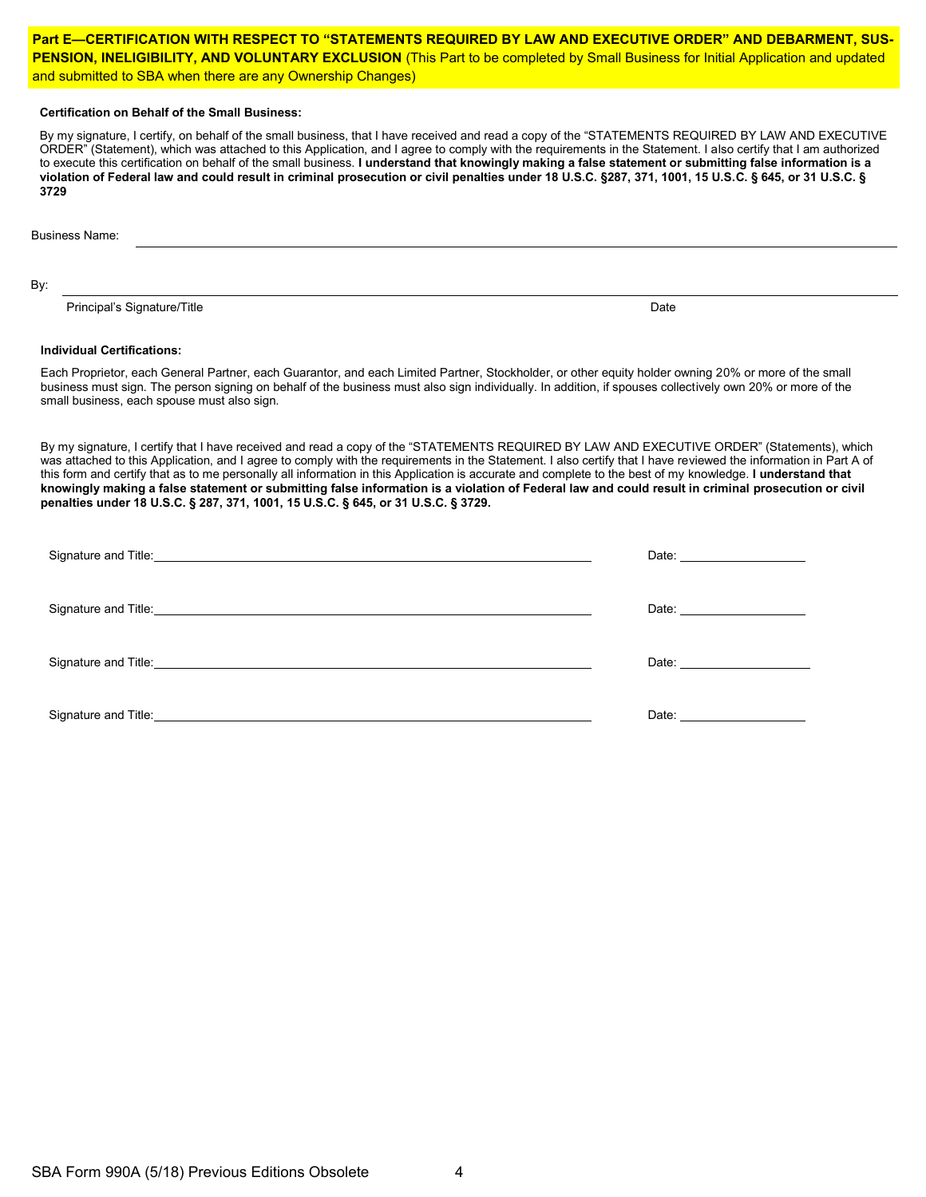## **Part E—CERTIFICATION WITH RESPECT TO "STATEMENTS REQUIRED BY LAW AND EXECUTIVE ORDER" AND DEBARMENT, SUS-PENSION, INELIGIBILITY, AND VOLUNTARY EXCLUSION** (This Part to be completed by Small Business for Initial Application and updated and submitted to SBA when there are any Ownership Changes)

#### **Certification on Behalf of the Small Business:**

By my signature, I certify, on behalf of the small business, that I have received and read a copy of the "STATEMENTS REQUIRED BY LAW AND EXECUTIVE ORDER" (Statement), which was attached to this Application, and I agree to comply with the requirements in the Statement. I also certify that I am authorized to execute this certification on behalf of the small business. **I understand that knowingly making a false statement or submitting false information is a violation of Federal law and could result in criminal prosecution or civil penalties under 18 U.S.C. §287, 371, 1001, 15 U.S.C. § 645, or 31 U.S.C. § 3729**

Business Name:

By:

Principal's Signature/Title **Date** 

#### **Individual Certifications:**

Each Proprietor, each General Partner, each Guarantor, and each Limited Partner, Stockholder, or other equity holder owning 20% or more of the small business must sign. The person signing on behalf of the business must also sign individually. In addition, if spouses collectively own 20% or more of the small business, each spouse must also sign.

By my signature, I certify that I have received and read a copy of the "STATEMENTS REQUIRED BY LAW AND EXECUTIVE ORDER" (Statements), which was attached to this Application, and I agree to comply with the requirements in the Statement. I also certify that I have reviewed the information in Part A of this form and certify that as to me personally all information in this Application is accurate and complete to the best of my knowledge. **I understand that knowingly making a false statement or submitting false information is a violation of Federal law and could result in criminal prosecution or civil penalties under 18 U.S.C. § 287, 371, 1001, 15 U.S.C. § 645, or 31 U.S.C. § 3729.**

| Signature and Title: example and the second state of the second state and state and state and state and state and state and state and state and state and state and state and state and state and state and state and state an       |                                                                                                                                                                                                                                |
|--------------------------------------------------------------------------------------------------------------------------------------------------------------------------------------------------------------------------------------|--------------------------------------------------------------------------------------------------------------------------------------------------------------------------------------------------------------------------------|
| Signature and Title: <u>Contract and Title</u> Contract of the Contract of the Contract of the Contract of the Contract of the Contract of the Contract of the Contract of the Contract of the Contract of the Contract of the Cont  |                                                                                                                                                                                                                                |
| Signature and Title: <u>contract and the contract of the set of the set of the set of the set of the set of the set of the set of the set of the set of the set of the set of the set of the set of the set of the set of the se</u> | Date: <u>_________________</u>                                                                                                                                                                                                 |
|                                                                                                                                                                                                                                      | Date: the contract of the contract of the contract of the contract of the contract of the contract of the contract of the contract of the contract of the contract of the contract of the contract of the contract of the cont |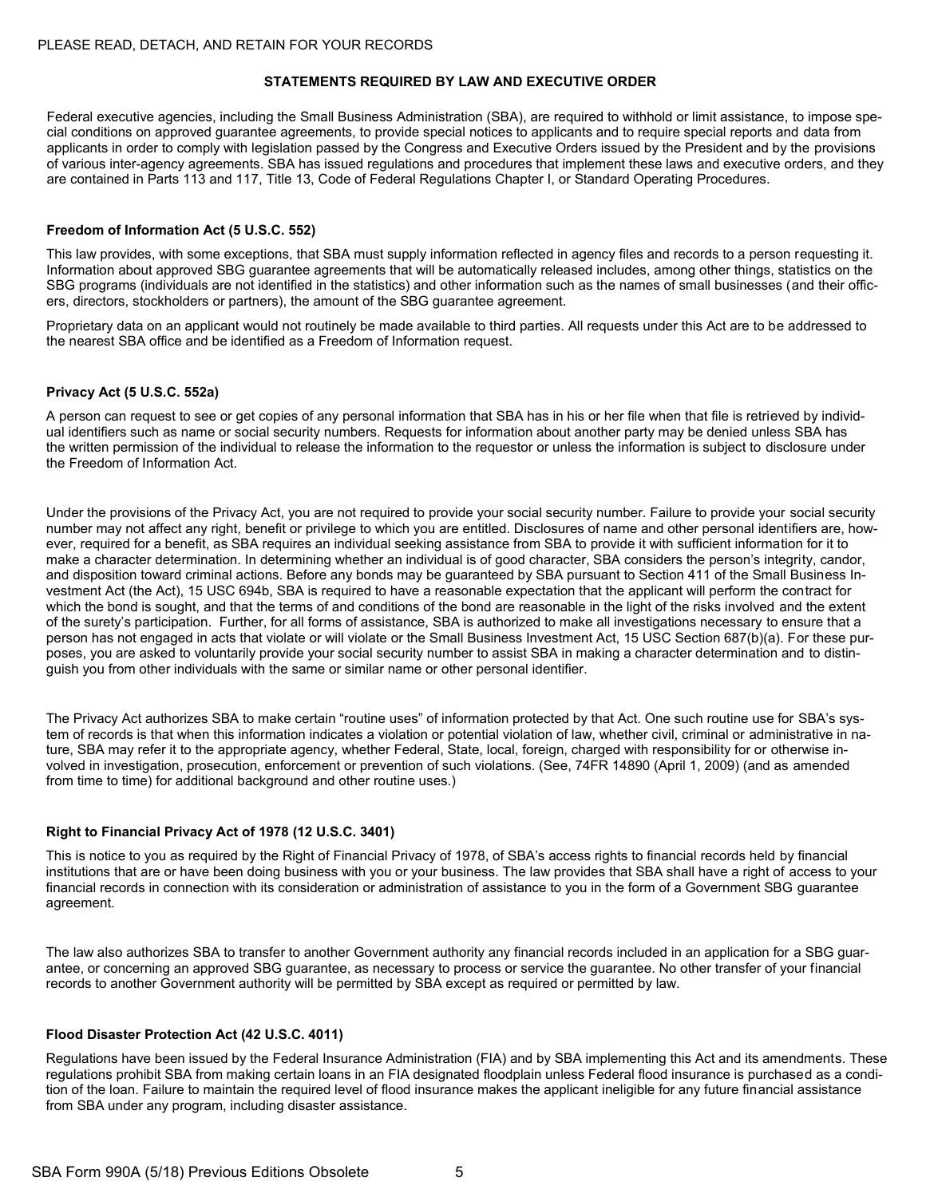### **STATEMENTS REQUIRED BY LAW AND EXECUTIVE ORDER**

Federal executive agencies, including the Small Business Administration (SBA), are required to withhold or limit assistance, to impose special conditions on approved guarantee agreements, to provide special notices to applicants and to require special reports and data from applicants in order to comply with legislation passed by the Congress and Executive Orders issued by the President and by the provisions of various inter-agency agreements. SBA has issued regulations and procedures that implement these laws and executive orders, and they are contained in Parts 113 and 117, Title 13, Code of Federal Regulations Chapter I, or Standard Operating Procedures.

### **Freedom of Information Act (5 U.S.C. 552)**

This law provides, with some exceptions, that SBA must supply information reflected in agency files and records to a person requesting it. Information about approved SBG guarantee agreements that will be automatically released includes, among other things, statistics on the SBG programs (individuals are not identified in the statistics) and other information such as the names of small businesses (and their officers, directors, stockholders or partners), the amount of the SBG guarantee agreement.

Proprietary data on an applicant would not routinely be made available to third parties. All requests under this Act are to be addressed to the nearest SBA office and be identified as a Freedom of Information request.

### **Privacy Act (5 U.S.C. 552a)**

A person can request to see or get copies of any personal information that SBA has in his or her file when that file is retrieved by individual identifiers such as name or social security numbers. Requests for information about another party may be denied unless SBA has the written permission of the individual to release the information to the requestor or unless the information is subject to disclosure under the Freedom of Information Act.

Under the provisions of the Privacy Act, you are not required to provide your social security number. Failure to provide your social security number may not affect any right, benefit or privilege to which you are entitled. Disclosures of name and other personal identifiers are, however, required for a benefit, as SBA requires an individual seeking assistance from SBA to provide it with sufficient information for it to make a character determination. In determining whether an individual is of good character, SBA considers the person's integrity, candor, and disposition toward criminal actions. Before any bonds may be guaranteed by SBA pursuant to Section 411 of the Small Business Investment Act (the Act), 15 USC 694b, SBA is required to have a reasonable expectation that the applicant will perform the contract for which the bond is sought, and that the terms of and conditions of the bond are reasonable in the light of the risks involved and the extent of the surety's participation. Further, for all forms of assistance, SBA is authorized to make all investigations necessary to ensure that a person has not engaged in acts that violate or will violate or the Small Business Investment Act, 15 USC Section 687(b)(a). For these purposes, you are asked to voluntarily provide your social security number to assist SBA in making a character determination and to distinguish you from other individuals with the same or similar name or other personal identifier.

The Privacy Act authorizes SBA to make certain "routine uses" of information protected by that Act. One such routine use for SBA's system of records is that when this information indicates a violation or potential violation of law, whether civil, criminal or administrative in nature, SBA may refer it to the appropriate agency, whether Federal, State, local, foreign, charged with responsibility for or otherwise involved in investigation, prosecution, enforcement or prevention of such violations. (See, 74FR 14890 (April 1, 2009) (and as amended from time to time) for additional background and other routine uses.)

# **Right to Financial Privacy Act of 1978 (12 U.S.C. 3401)**

This is notice to you as required by the Right of Financial Privacy of 1978, of SBA's access rights to financial records held by financial institutions that are or have been doing business with you or your business. The law provides that SBA shall have a right of access to your financial records in connection with its consideration or administration of assistance to you in the form of a Government SBG guarantee agreement.

The law also authorizes SBA to transfer to another Government authority any financial records included in an application for a SBG guarantee, or concerning an approved SBG guarantee, as necessary to process or service the guarantee. No other transfer of your financial records to another Government authority will be permitted by SBA except as required or permitted by law.

### **Flood Disaster Protection Act (42 U.S.C. 4011)**

Regulations have been issued by the Federal Insurance Administration (FIA) and by SBA implementing this Act and its amendments. These regulations prohibit SBA from making certain loans in an FIA designated floodplain unless Federal flood insurance is purchased as a condition of the loan. Failure to maintain the required level of flood insurance makes the applicant ineligible for any future financial assistance from SBA under any program, including disaster assistance.